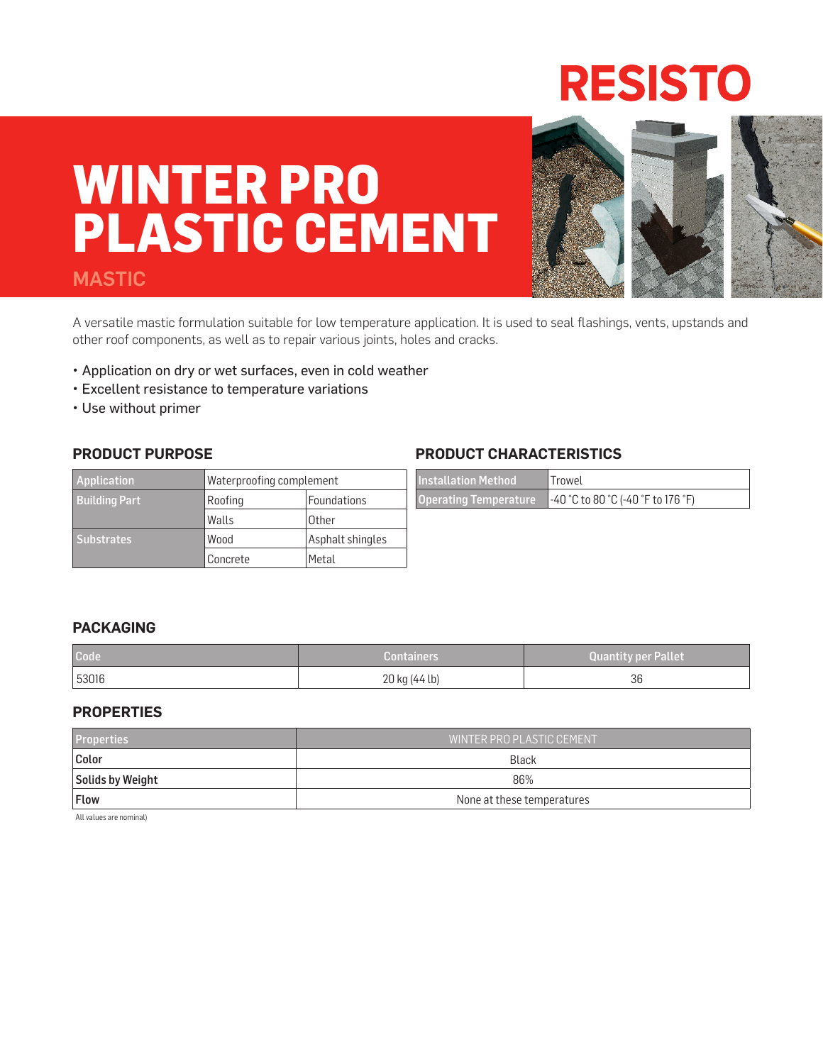## **RESISTO**

# **WINTER PRO PLASTIC CEMENT**

#### MASTIC



A versatile mastic formulation suitable for low temperature application. It is used to seal flashings, vents, upstands and other roof components, as well as to repair various joints, holes and cracks.

- Application on dry or wet surfaces, even in cold weather
- Excellent resistance to temperature variations
- Use without primer

#### **PRODUCT PURPOSE**

| <b>Application</b>   | Waterproofing complement |                  |
|----------------------|--------------------------|------------------|
| <b>Building Part</b> | Roofing                  | Foundations      |
|                      | Walls                    | Other            |
| <b>Substrates</b>    | Wood                     | Asphalt shingles |
|                      | Concrete                 | Metal            |

#### **PRODUCT CHARACTERISTICS**

| <b>Installation Method</b> | <i>Irnwel</i>                      |
|----------------------------|------------------------------------|
| Operating Temperature      | -40 °C to 80 °C (-40 °F to 176 °F) |

#### **PACKAGING**

| Code  | <b>Containers</b> |    |
|-------|-------------------|----|
| 53016 | 20 kg (44 lb)     | 36 |

#### **PROPERTIES**

| <b>Properties</b> | I WINTER PRO PLASTIC CEMENT' |  |
|-------------------|------------------------------|--|
| Color             | Black                        |  |
| Solids by Weight  | 86%                          |  |
| <b>Flow</b>       | None at these temperatures   |  |

All values are nominal)